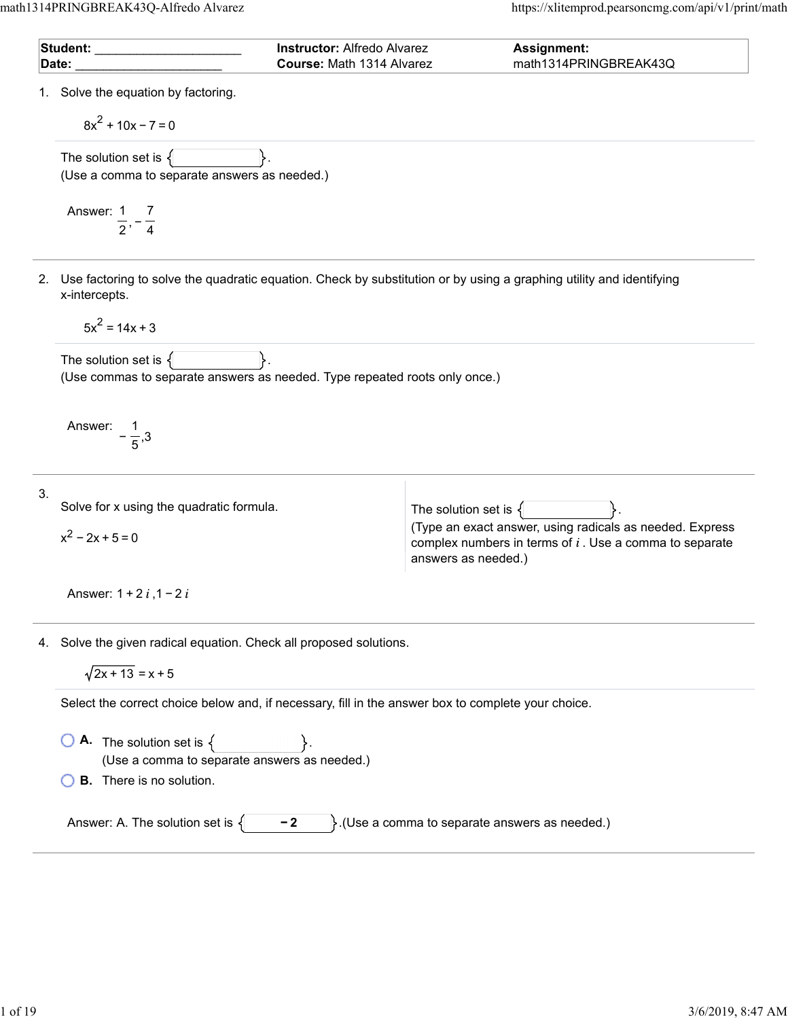|    | Student: _______________________<br>Date:                                                              | <b>Instructor: Alfredo Alvarez</b><br>Course: Math 1314 Alvarez | Assignment:<br>math1314PRINGBREAK43Q                                                                                                         |
|----|--------------------------------------------------------------------------------------------------------|-----------------------------------------------------------------|----------------------------------------------------------------------------------------------------------------------------------------------|
|    | 1. Solve the equation by factoring.<br>$8x^{2}$ + 10x - 7 = 0                                          |                                                                 |                                                                                                                                              |
|    | The solution set is $\{$<br>(Use a comma to separate answers as needed.)                               |                                                                 |                                                                                                                                              |
|    | Answer: 1 7<br>$\frac{1}{2}$ , $\frac{1}{4}$                                                           |                                                                 |                                                                                                                                              |
|    | x-intercepts.                                                                                          |                                                                 | 2. Use factoring to solve the quadratic equation. Check by substitution or by using a graphing utility and identifying                       |
|    | $5x^2 = 14x + 3$                                                                                       |                                                                 |                                                                                                                                              |
|    | The solution set is $\{$<br>(Use commas to separate answers as needed. Type repeated roots only once.) |                                                                 |                                                                                                                                              |
|    | Answer:                                                                                                |                                                                 |                                                                                                                                              |
| 3. | Solve for x using the quadratic formula.                                                               |                                                                 | The solution set is $\{$                                                                                                                     |
|    | $x^2 - 2x + 5 = 0$                                                                                     |                                                                 | (Type an exact answer, using radicals as needed. Express<br>complex numbers in terms of $i$ . Use a comma to separate<br>answers as needed.) |
|    | Answer: $1 + 2i$ , $1 - 2i$                                                                            |                                                                 |                                                                                                                                              |
|    | 4. Solve the given radical equation. Check all proposed solutions.<br>$\sqrt{2x+13} = x+5$             |                                                                 |                                                                                                                                              |
|    | Select the correct choice below and, if necessary, fill in the answer box to complete your choice.     |                                                                 |                                                                                                                                              |
|    | <b>A.</b> The solution set is $\{$<br>(Use a comma to separate answers as needed.)                     |                                                                 |                                                                                                                                              |
|    | <b>B.</b> There is no solution.                                                                        |                                                                 |                                                                                                                                              |
|    | Answer: A. The solution set is $\{$                                                                    | $-2$                                                            | }. (Use a comma to separate answers as needed.)                                                                                              |
|    |                                                                                                        |                                                                 |                                                                                                                                              |
|    |                                                                                                        |                                                                 |                                                                                                                                              |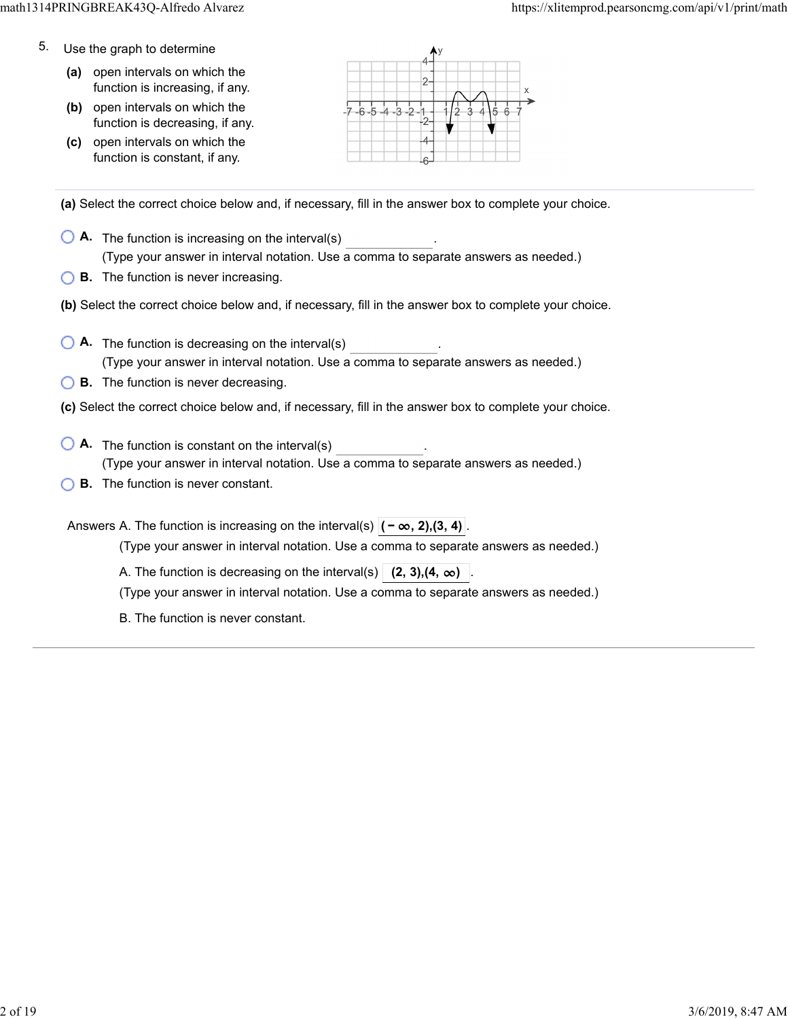- 5. Use the graph to determine
	- **(a)** open intervals on which the function is increasing, if any.
	- **(b)** open intervals on which the function is decreasing, if any.
	- **(c)** open intervals on which the function is constant, if any.



**(a)** Select the correct choice below and, if necessary, fill in the answer box to complete your choice.

- **A.** The function is increasing on the interval(s) . (Type your answer in interval notation. Use a comma to separate answers as needed.)
- **B.** The function is never increasing.
- **(b)** Select the correct choice below and, if necessary, fill in the answer box to complete your choice.
- **A.** The function is decreasing on the interval(s) . (Type your answer in interval notation. Use a comma to separate answers as needed.)
- **B.** The function is never decreasing.
- **(c)** Select the correct choice below and, if necessary, fill in the answer box to complete your choice.
- **A**. The function is constant on the interval(s) **A**. (Type your answer in interval notation. Use a comma to separate answers as needed.)
- **B.** The function is never constant.

Answers A. The function is increasing on the interval(s)  $|(-\infty, 2), (3, 4)$ 

(Type your answer in interval notation. Use a comma to separate answers as needed.)

A. The function is decreasing on the interval(s)  $(2, 3)$ ,  $(4, \infty)$ 

(Type your answer in interval notation. Use a comma to separate answers as needed.)

B. The function is never constant.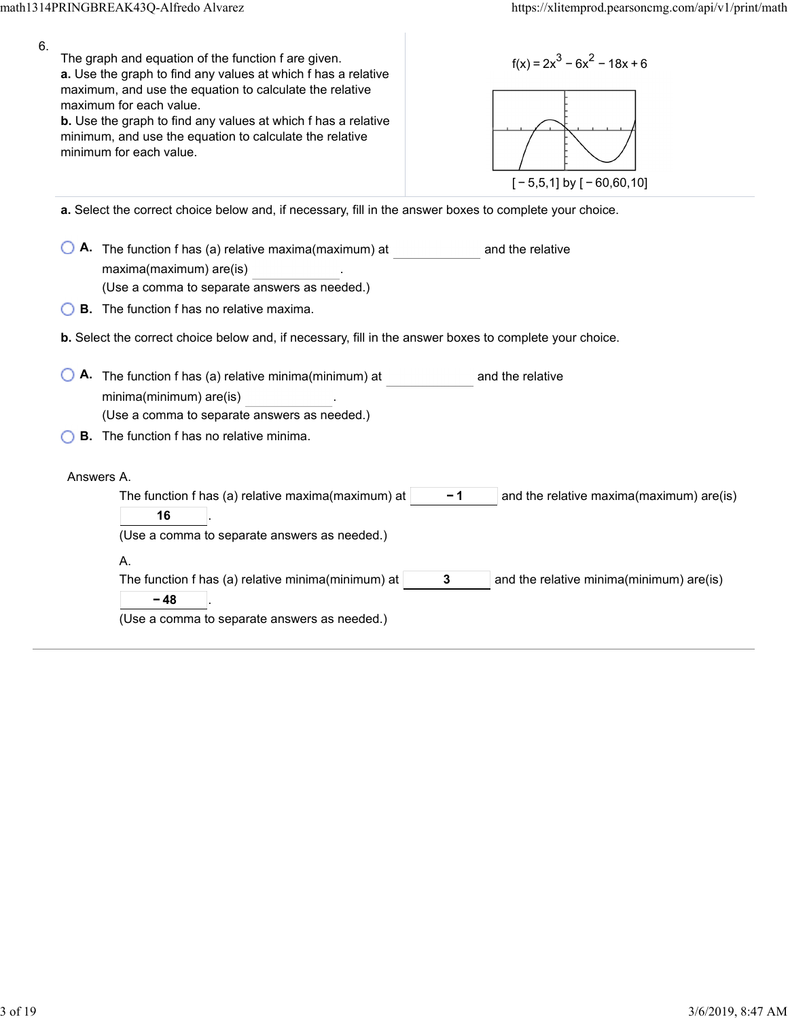| 6. | The graph and equation of the function f are given.<br>a. Use the graph to find any values at which f has a relative<br>maximum, and use the equation to calculate the relative<br>maximum for each value.<br><b>b.</b> Use the graph to find any values at which f has a relative<br>minimum, and use the equation to calculate the relative<br>minimum for each value. | $f(x) = 2x^3 - 6x^2 - 18x + 6$<br>$[-5,5,1]$ by $[-60,60,10]$ |
|----|--------------------------------------------------------------------------------------------------------------------------------------------------------------------------------------------------------------------------------------------------------------------------------------------------------------------------------------------------------------------------|---------------------------------------------------------------|
|    | a. Select the correct choice below and, if necessary, fill in the answer boxes to complete your choice.                                                                                                                                                                                                                                                                  |                                                               |
|    |                                                                                                                                                                                                                                                                                                                                                                          |                                                               |
|    | A. The function f has (a) relative maxima(maximum) at                                                                                                                                                                                                                                                                                                                    | and the relative                                              |
|    | maxima(maximum) are(is)<br>(Use a comma to separate answers as needed.)                                                                                                                                                                                                                                                                                                  |                                                               |
|    | <b>B.</b> The function f has no relative maxima.                                                                                                                                                                                                                                                                                                                         |                                                               |
|    |                                                                                                                                                                                                                                                                                                                                                                          |                                                               |
|    | b. Select the correct choice below and, if necessary, fill in the answer boxes to complete your choice.                                                                                                                                                                                                                                                                  |                                                               |
|    | A. The function f has (a) relative minima(minimum) at                                                                                                                                                                                                                                                                                                                    | and the relative                                              |
|    | minima(minimum) are(is)                                                                                                                                                                                                                                                                                                                                                  |                                                               |
|    | (Use a comma to separate answers as needed.)                                                                                                                                                                                                                                                                                                                             |                                                               |
|    | <b>B.</b> The function f has no relative minima.                                                                                                                                                                                                                                                                                                                         |                                                               |
|    |                                                                                                                                                                                                                                                                                                                                                                          |                                                               |
|    | Answers A.                                                                                                                                                                                                                                                                                                                                                               |                                                               |
|    | The function f has (a) relative maxima(maximum) at $ $<br>16                                                                                                                                                                                                                                                                                                             | and the relative maxima(maximum) are(is)<br>-1                |
|    | (Use a comma to separate answers as needed.)                                                                                                                                                                                                                                                                                                                             |                                                               |
|    | А.                                                                                                                                                                                                                                                                                                                                                                       |                                                               |
|    | The function f has (a) relative minima(minimum) at                                                                                                                                                                                                                                                                                                                       | 3<br>and the relative minima(minimum) are(is)                 |
|    | $-48$                                                                                                                                                                                                                                                                                                                                                                    |                                                               |
|    | (Use a comma to separate answers as needed.)                                                                                                                                                                                                                                                                                                                             |                                                               |
|    |                                                                                                                                                                                                                                                                                                                                                                          |                                                               |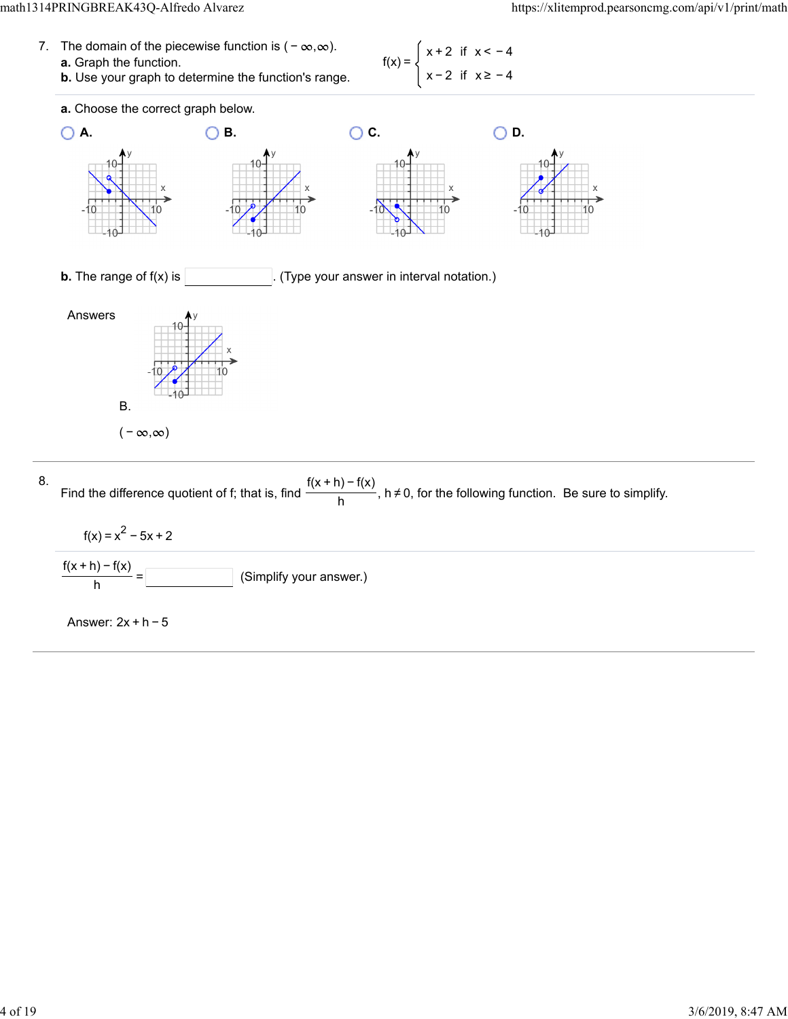| 7. The domain of the piecewise function is $(-\infty,\infty)$ . | $f(x) = \begin{cases} x + 2 & \text{if } x < -4 \end{cases}$ |
|-----------------------------------------------------------------|--------------------------------------------------------------|
| <b>a.</b> Graph the function.                                   |                                                              |
| <b>b.</b> Use your graph to determine the function's range.     | $\begin{cases} x - 2 & \text{if } x \geq -4 \end{cases}$     |



(Simplify your answer.)  $\frac{f(x+h)-f(x)}{h} =$ 

Answer: 2x + h − 5

8.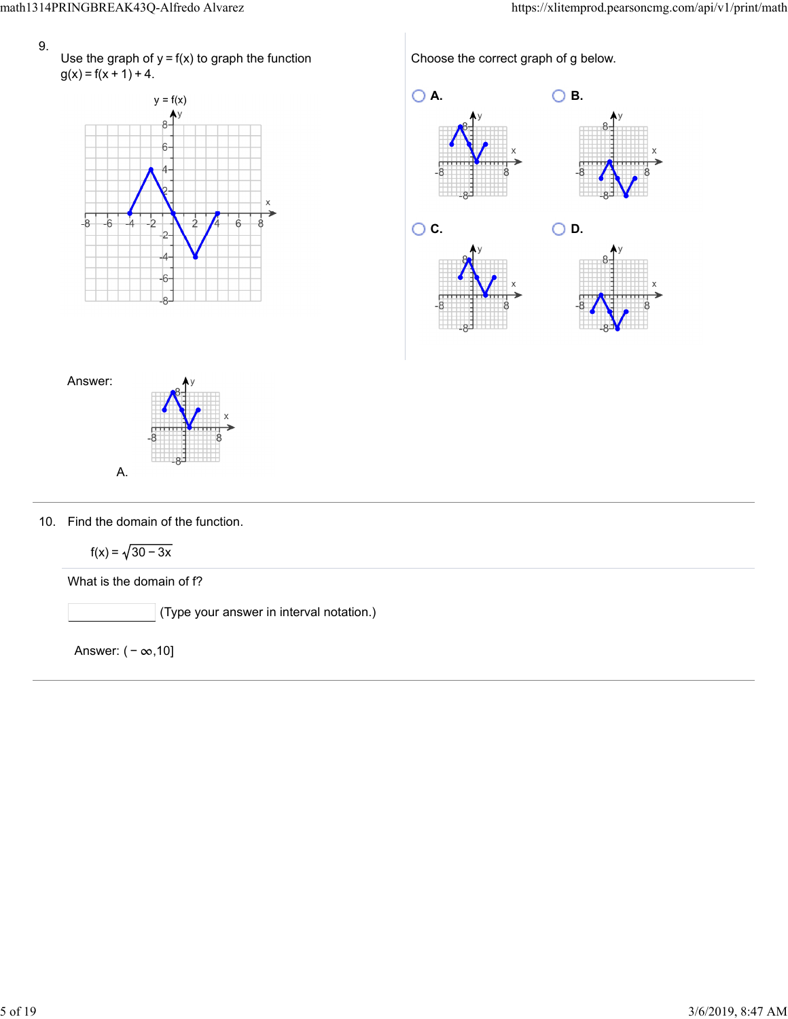Use the graph of  $y = f(x)$  to graph the function  $g(x) = f(x + 1) + 4$ .



Choose the correct graph of g below.





10. Find the domain of the function.

$$
f(x) = \sqrt{30 - 3x}
$$

What is the domain of f?

(Type your answer in interval notation.)

Answer:  $(-\infty, 10]$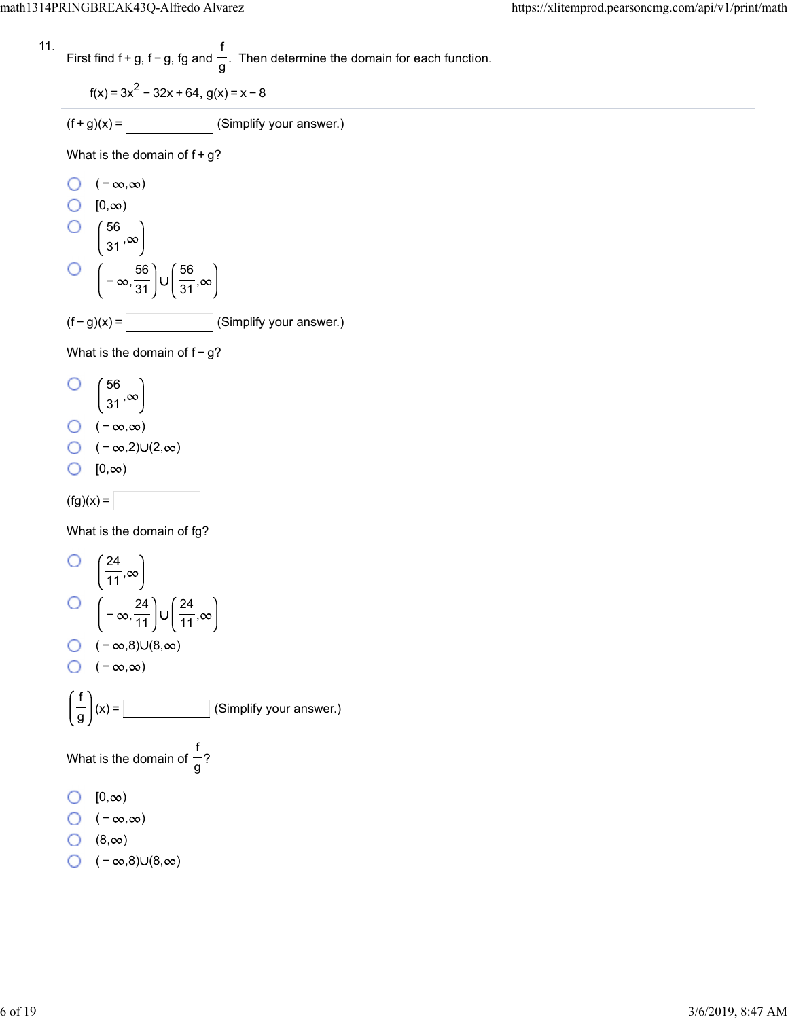11. First find 
$$
f + g
$$
,  $f - g$ ,  $fg$  and  $\frac{f}{g}$ . Then determine the domain for each function.

$$
f(x) = 3x^2 - 32x + 64, g(x) = x - 8
$$

 $(f+g)(x) =$  (Simplify your answer.)

What is the domain of  $f+g$ ?

O 
$$
(-\infty, \infty)
$$
  
\nO  $[0, \infty)$   
\nO  $\left(\frac{56}{31}, \infty\right)$   
\nO  $\left(-\infty, \frac{56}{31}\right) \cup \left(\frac{56}{31}, \infty\right)$   
\n(f - g)(x) = \_\_\_\_\_\_ (Simplify your answer.)

What is the domain of f - g?

О 56<br>31,

- $\bigcirc$   $(-\infty,\infty)$
- $\bigcirc$  ( − ∞,2)∪(2,∞)

$$
\bigcirc \quad [0,\infty)
$$

 $(fg)(x) =$ 

What is the domain of fg?

O 
$$
\left(\frac{24}{11}, \infty\right)
$$
  
\nO  $\left(-\infty, \frac{24}{11}\right) \cup \left(\frac{24}{11}, \infty\right)$   
\nO  $(-\infty, 8) \cup (8, \infty)$   
\nO  $(-\infty, \infty)$   
\n $\left(\frac{f}{g}\right)(x) =$  (Simplify your answer.)  
\nWhat is the domain of  $\frac{f}{g}$ ?  
\nO  $[0, \infty)$   
\nO  $(-\infty, \infty)$   
\nO  $(8, \infty)$   
\nO  $(-\infty, 8) \cup (8, \infty)$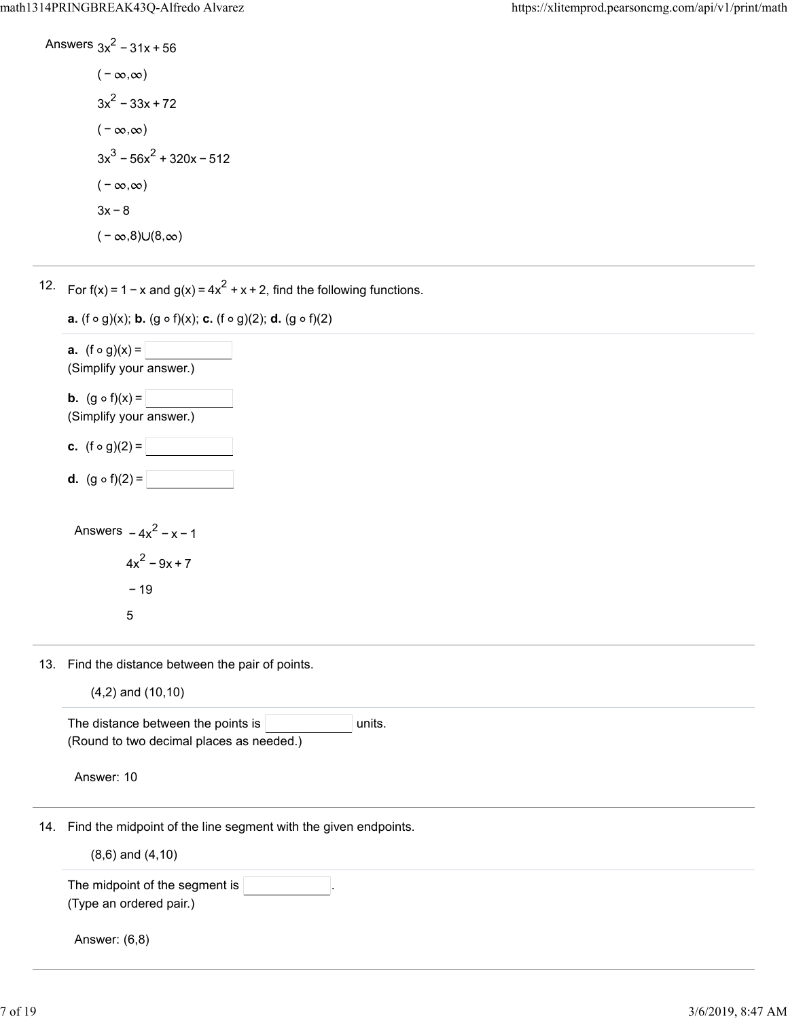Answers 
$$
3x^2 - 31x + 56
$$
  
\n $(-\infty, \infty)$   
\n $3x^2 - 33x + 72$   
\n $(-\infty, \infty)$   
\n $3x^3 - 56x^2 + 320x - 512$   
\n $(-\infty, \infty)$   
\n $3x - 8$ 

 $(-\infty, 8) \cup (8, \infty)$ 

12. For  $f(x) = 1 - x$  and  $g(x) = 4x^2 + x + 2$ , find the following functions.



13. Find the distance between the pair of points.

|  | $(4,2)$ and $(10,10)$ |
|--|-----------------------|
|  |                       |

| The distance between the points is<br>units.                        |
|---------------------------------------------------------------------|
| (Round to two decimal places as needed.)                            |
| Answer: 10                                                          |
| 14. Find the midpoint of the line segment with the given endpoints. |
| $(8,6)$ and $(4,10)$                                                |
| The midpoint of the segment is                                      |
| (Type an ordered pair.)                                             |
| Answer: (6,8)                                                       |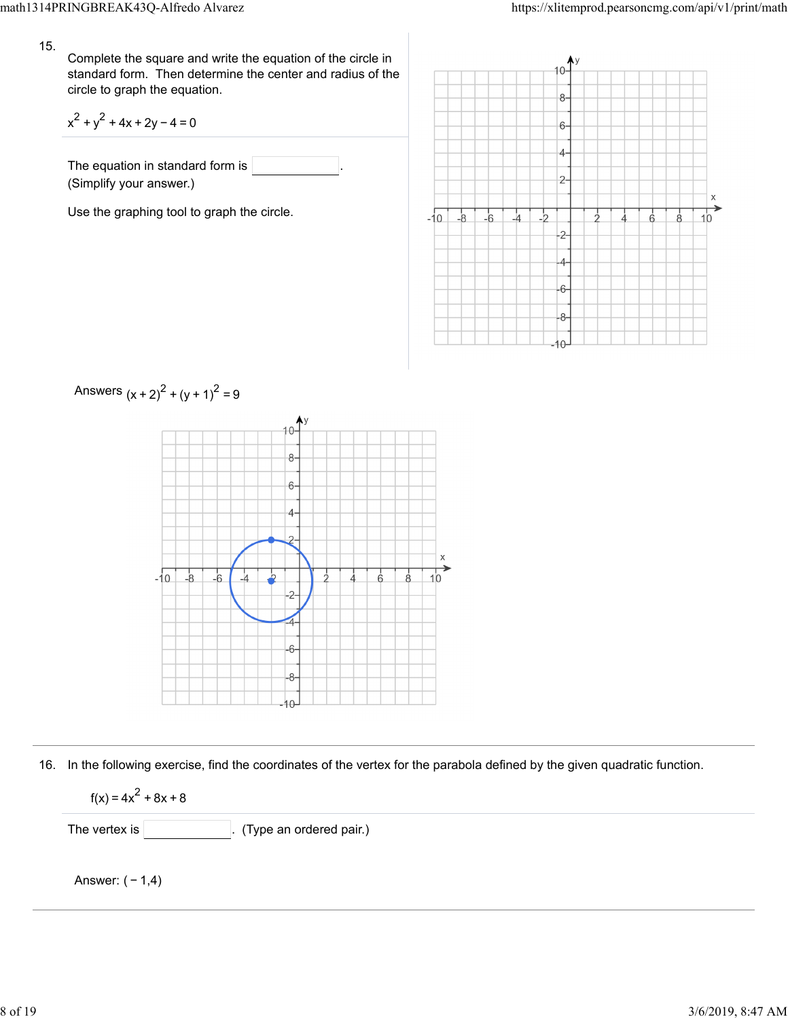Complete the square and write the equation of the circle in standard form. Then determine the center and radius of the circle to graph the equation.

$$
x^2 + y^2 + 4x + 2y - 4 = 0
$$

The equation in standard form is (Simplify your answer.)

Use the graphing tool to graph the circle.





16. In the following exercise, find the coordinates of the vertex for the parabola defined by the given quadratic function.

$$
f(x) = 4x^2 + 8x + 8
$$

The vertex is  $\vert$  (Type an ordered pair.)

Answer: ( − 1,4)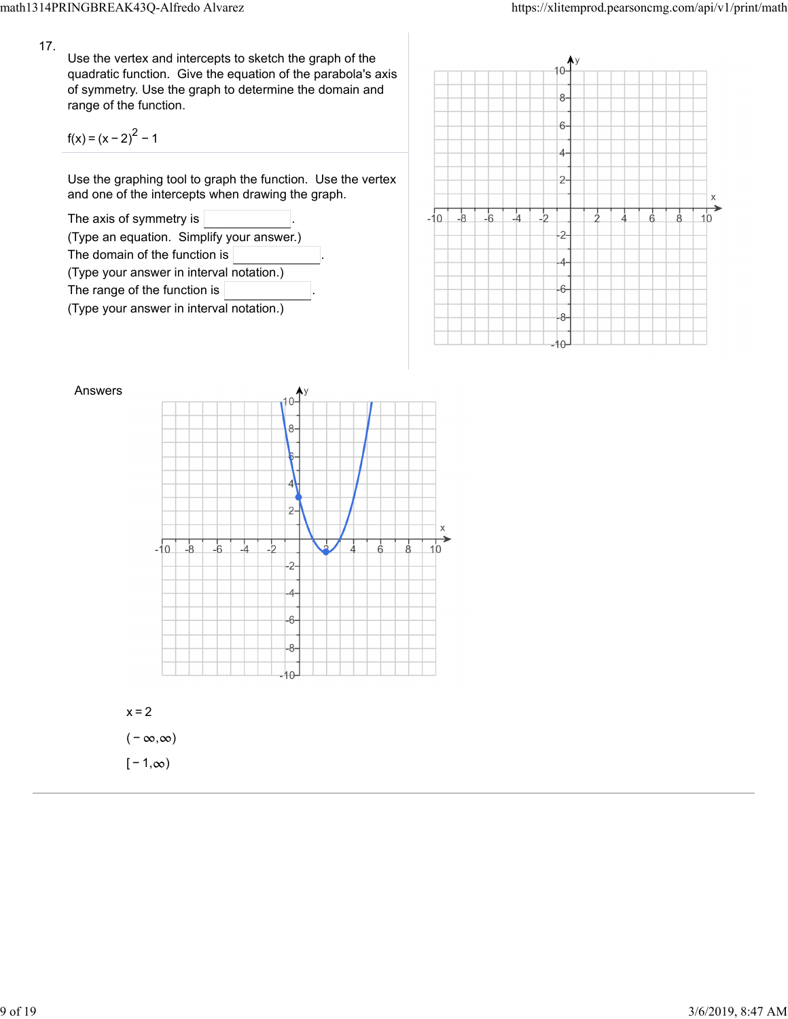Use the vertex and intercepts to sketch the graph of the quadratic function. Give the equation of the parabola's axis of symmetry. Use the graph to determine the domain and range of the function.

$$
f(x) = (x - 2)^{2} - 1
$$

Use the graphing tool to graph the function. Use the vertex and one of the intercepts when drawing the graph.







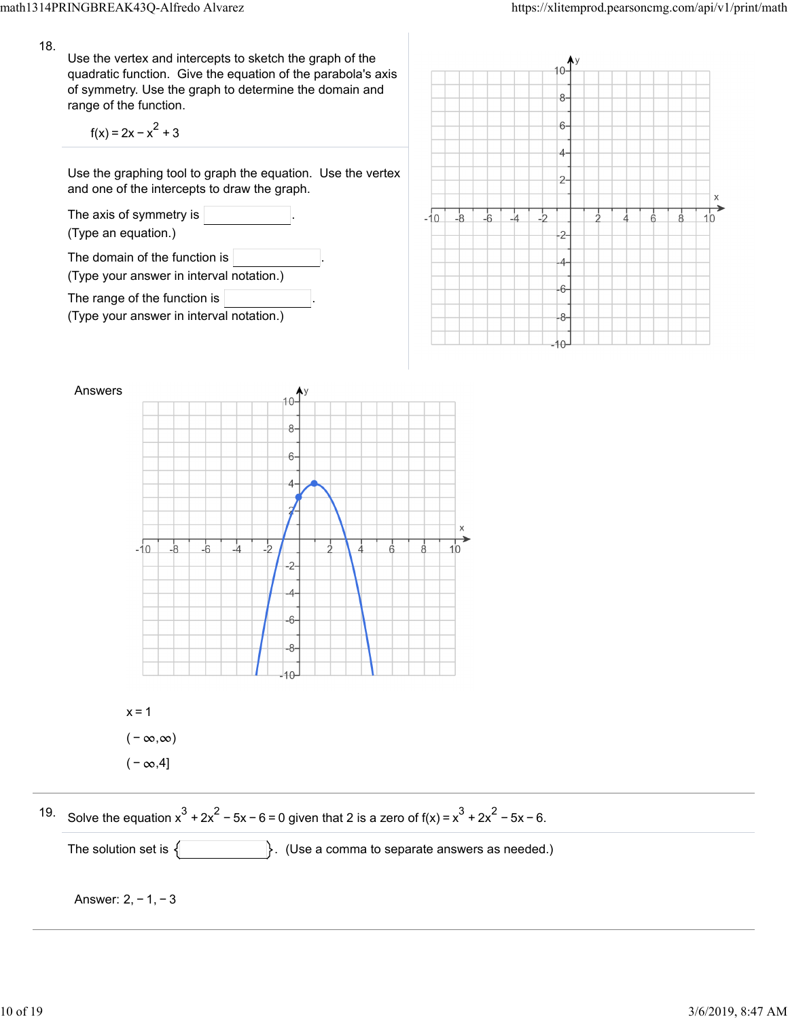Use the vertex and intercepts to sketch the graph of the quadratic function. Give the equation of the parabola's axis of symmetry. Use the graph to determine the domain and range of the function.

$$
f(x) = 2x - x^2 + 3
$$

Use the graphing tool to graph the equation. Use the vertex and one of the intercepts to draw the graph.







19. Solve the equation  $x^3 + 2x^2 - 5x - 6 = 0$  given that 2 is a zero of  $f(x) = x^3 + 2x^2 - 5x - 6$ .

The solution set is . (Use a comma to separate answers as needed.)

Answer: 2, − 1, − 3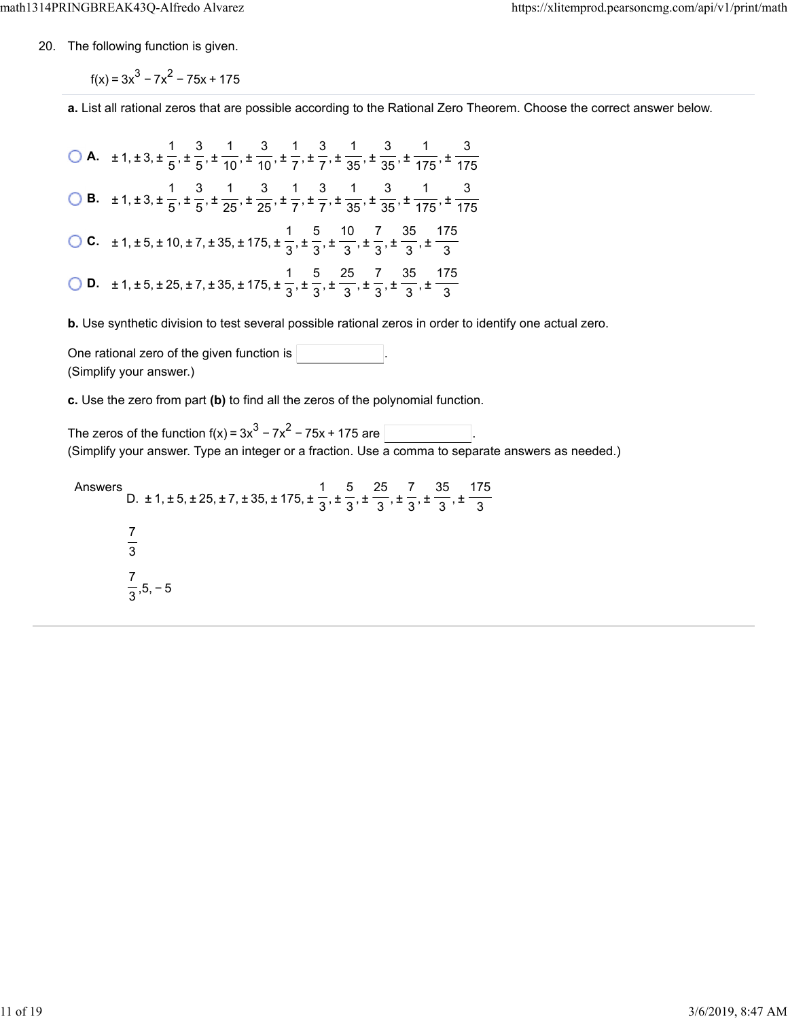20. The following function is given.

 $f(x) = 3x^{3} - 7x^{2} - 75x + 175$ 

**a.** List all rational zeros that are possible according to the Rational Zero Theorem. Choose the correct answer below.

**A.**  $\pm 1, \pm 3, \pm \frac{1}{5}, \pm \frac{3}{5}, \pm \frac{1}{40}, \pm \frac{3}{7}, \pm \frac{1}{7}, \pm \frac{3}{75}, \pm \frac{1}{25}, \pm \frac{3}{75}, \pm \frac{1}{75}$  **B.**  $\pm 1, \pm 3, \pm \frac{1}{5}, \pm \frac{3}{65}, \pm \frac{1}{25}, \pm \frac{3}{75}, \pm \frac{1}{75}, \pm \frac{3}{25}, \pm \frac{1}{25}, \pm \frac{3}{25}, \pm \frac{1}{25}$  **C.**  $\pm 1, \pm 5, \pm 10, \pm 7, \pm 35, \pm 175, \pm \frac{1}{2}, \pm \frac{5}{2}, \pm \frac{10}{2}, \pm \frac{7}{2}, \pm \frac{35}{2}, \pm \frac{10}{2}$  **D.**  $\pm 1, \pm 5, \pm 25, \pm 7, \pm 35, \pm 175, \pm \frac{1}{2}, \pm \frac{5}{2}, \pm \frac{25}{2}, \pm \frac{7}{2}, \pm \frac{35}{2}, \pm \frac{1}{2}$  

**b.** Use synthetic division to test several possible rational zeros in order to identify one actual zero.

One rational zero of the given function is . (Simplify your answer.)

**c.** Use the zero from part **(b)** to find all the zeros of the polynomial function.

The zeros of the function f(x) =  $3x^3 - 7x^2 - 75x + 175$  are  $\left[\right]$ (Simplify your answer. Type an integer or a fraction. Use a comma to separate answers as needed.)

Answers D.  $\pm$  1,  $\pm$  5,  $\pm$  25,  $\pm$  7,  $\pm$  35,  $\pm$  175,  $\pm$   $\frac{1}{2}$ ,  $\pm$   $\frac{1}{2}$ ,  $\pm$   $\frac{1}{2}$ ,  $\pm$   $\frac{1}{2}$ ,  $\pm$  ,5, − 5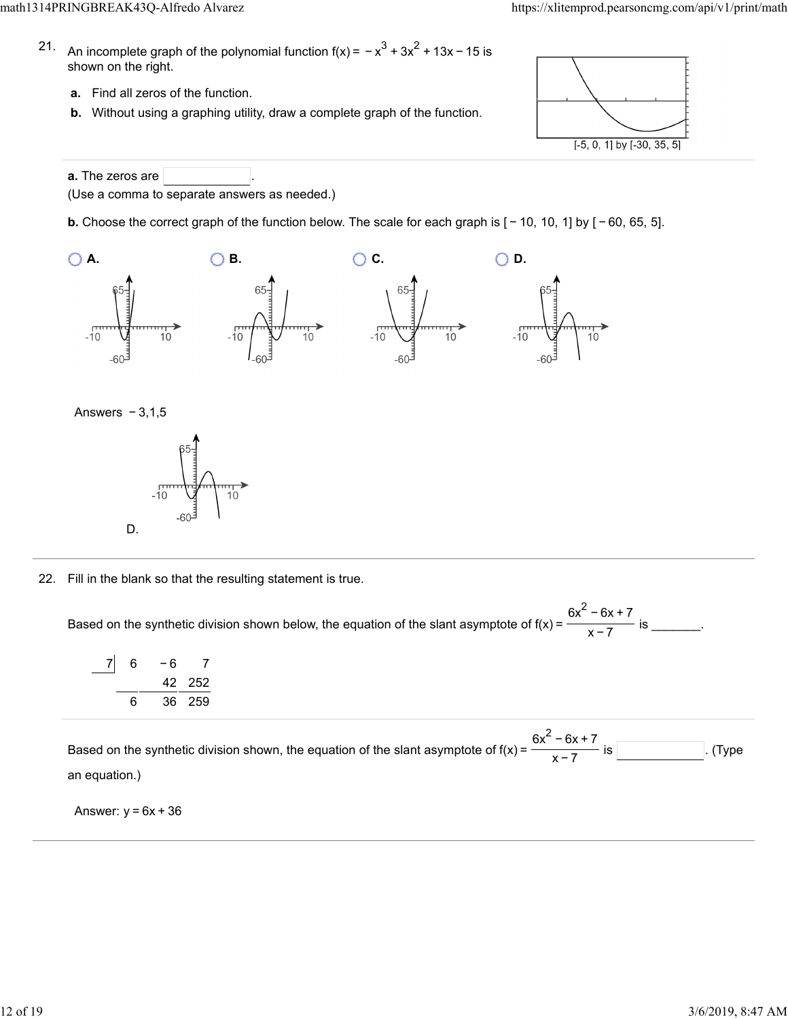- 21. An incomplete graph of the polynomial function f(x) =  $-x^3 + 3x^2 + 13x - 15$  is shown on the right.
	- **a.** Find all zeros of the function.
	- **b.** Without using a graphing utility, draw a complete graph of the function.



**a.** The zeros are (Use a comma to separate answers as needed.)

**b.** Choose the correct graph of the function below. The scale for each graph is [ − 10, 10, 1] by [ − 60, 65, 5].







22. Fill in the blank so that the resulting statement is true.

Based on the synthetic division shown below, the equation of the slant asymptote of  $f(x) = \frac{1}{x}$  figures is \_\_\_\_\_\_\_.  $6x^2 - 6x + 7$ x−7

| 6 | - 6 |        |
|---|-----|--------|
|   |     | 42 252 |
| 6 |     | 36 259 |

Based on the synthetic division shown, the equation of the slant asymptote of  $f(x) = \frac{1}{x}$  is . (Type an equation.)  $6x^2 - 6x + 7$ x−7

Answer:  $y = 6x + 36$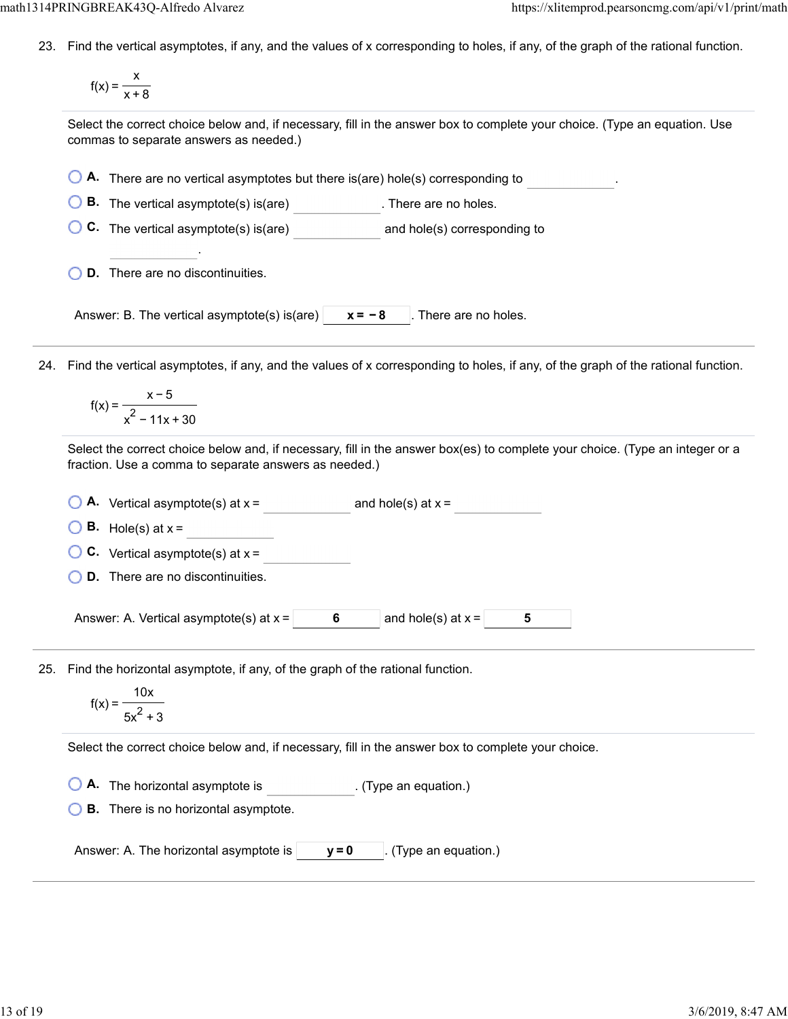23. Find the vertical asymptotes, if any, and the values of x corresponding to holes, if any, of the graph of the rational function.

$$
f(x) = \frac{x}{x+8}
$$

Select the correct choice below and, if necessary, fill in the answer box to complete your choice. (Type an equation. Use commas to separate answers as needed.)

| A. There are no vertical asymptotes but there is(are) hole(s) corresponding to                                                                                                        |
|---------------------------------------------------------------------------------------------------------------------------------------------------------------------------------------|
| <b>B.</b> The vertical asymptote(s) is(are)<br>. There are no holes.                                                                                                                  |
| C. The vertical asymptote(s) is(are) end note(s) corresponding to                                                                                                                     |
| <b>D.</b> There are no discontinuities.                                                                                                                                               |
| Answer: B. The vertical asymptote(s) is (are) $\vert$<br>$x = -8$<br>. There are no holes.                                                                                            |
| Find the vertical asymptotes, if any, and the values of x corresponding to holes, if any, of the graph of the rational function.                                                      |
| $f(x) = \frac{x-5}{x^2 - 11x + 30}$                                                                                                                                                   |
| Select the correct choice below and, if necessary, fill in the answer box(es) to complete your choice. (Type an integer or a<br>fraction. Use a comma to separate answers as needed.) |
| $\bigcirc$ <b>A.</b> Vertical asymptote(s) at $x =$<br>and hole(s) at $x =$                                                                                                           |
| <b>B.</b> Hole(s) at $x =$                                                                                                                                                            |
| <b>C.</b> Vertical asymptote(s) at $x =$                                                                                                                                              |
| <b>D.</b> There are no discontinuities.                                                                                                                                               |
| Answer: A. Vertical asymptote(s) at $x =$ 6<br>and hole(s) at $x =$<br>5                                                                                                              |
| Find the horizontal asymptote, if any, of the graph of the rational function.<br>25.<br>$f(x) = \frac{10x}{5x^2 + 3}$                                                                 |
| Select the correct choice below and, if necessary, fill in the answer box to complete your choice.                                                                                    |
| A. The horizontal asymptote is<br>. (Type an equation.)<br><b>B.</b> There is no horizontal asymptote.                                                                                |
| (Type an equation.)<br>Answer: A. The horizontal asymptote is<br>$y = 0$                                                                                                              |
|                                                                                                                                                                                       |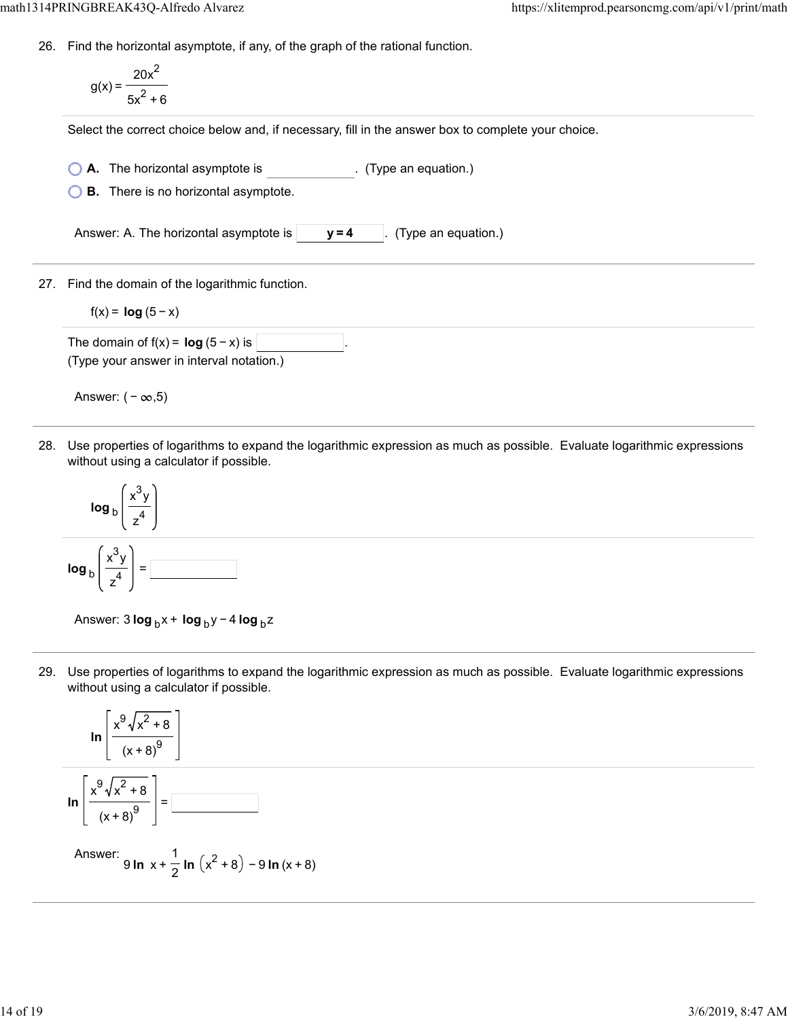26. Find the horizontal asymptote, if any, of the graph of the rational function.

$$
g(x) = \frac{20x^2}{5x^2 + 6}
$$

Select the correct choice below and, if necessary, fill in the answer box to complete your choice.

**A.** The horizontal asymptote is . (Type an equation.)

**B.** There is no horizontal asymptote.

Answer: A. The horizontal asymptote is  $\vert$   $\vert$  **y** = 4  $\vert$  . (Type an equation.)

27. Find the domain of the logarithmic function.

 $f(x) = log(5 - x)$ 

The domain of  $f(x) = \log(5 - x)$  is (Type your answer in interval notation.)

Answer:  $(-\infty, 5)$ 

28. Use properties of logarithms to expand the logarithmic expression as much as possible. Evaluate logarithmic expressions without using a calculator if possible.



Answer: 3 **log** <sub>b</sub>x + **log** <sub>b</sub>y − 4 **log** <sub>b</sub>z

29. Use properties of logarithms to expand the logarithmic expression as much as possible. Evaluate logarithmic expressions without using a calculator if possible.



Answer: 9 **ln** x + <del>−</del> **ln** (x<sup>2</sup> + 8) − 9 **ln** (x + 8) 1 2 2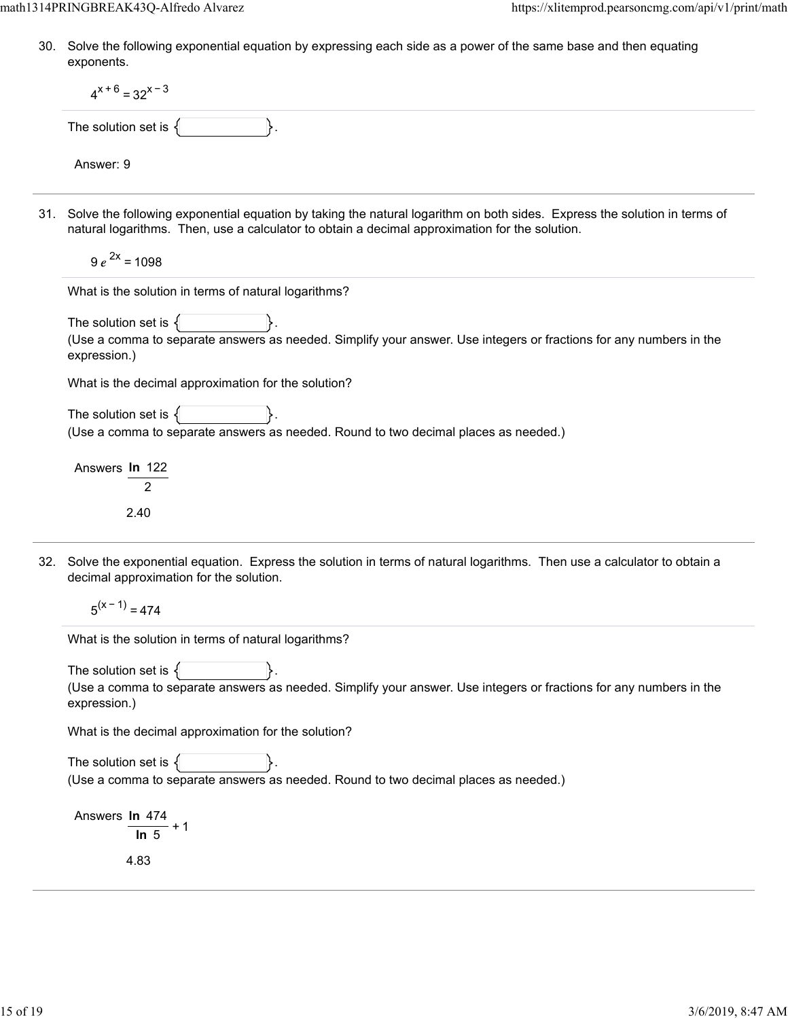30. Solve the following exponential equation by expressing each side as a power of the same base and then equating exponents.

| $4^{x+6} = 32^{x-3}$                                                                                                                                                                                                           |
|--------------------------------------------------------------------------------------------------------------------------------------------------------------------------------------------------------------------------------|
| The solution set is $\{$                                                                                                                                                                                                       |
| Answer: 9                                                                                                                                                                                                                      |
| 31. Solve the following exponential equation by taking the natural logarithm on both sides. Express the solution in terms of<br>natural logarithms. Then, use a calculator to obtain a decimal approximation for the solution. |
| $9e^{2x}$ = 1098                                                                                                                                                                                                               |
| What is the solution in terms of natural logarithms?                                                                                                                                                                           |
| The solution set is $\{$<br>(Use a comma to separate answers as needed. Simplify your answer. Use integers or fractions for any numbers in the<br>expression.)                                                                 |
| What is the decimal approximation for the solution?                                                                                                                                                                            |
| The solution set is $\{$<br>(Use a comma to separate answers as needed. Round to two decimal places as needed.)                                                                                                                |
| Answers In 122<br>2<br>2.40                                                                                                                                                                                                    |
| 32. Solve the exponential equation. Express the solution in terms of natural logarithms. Then use a calculator to obtain a<br>decimal approximation for the solution.                                                          |
| $5^{(x-1)} = 474$                                                                                                                                                                                                              |
| What is the solution in terms of natural logarithms?                                                                                                                                                                           |
| The solution set is<br>(Use a comma to separate answers as needed. Simplify your answer. Use integers or fractions for any numbers in the<br>expression.)                                                                      |
| What is the decimal approximation for the solution?                                                                                                                                                                            |
| The solution set is $\{$<br>(Use a comma to separate answers as needed. Round to two decimal places as needed.)                                                                                                                |
|                                                                                                                                                                                                                                |
| Answers In 474                                                                                                                                                                                                                 |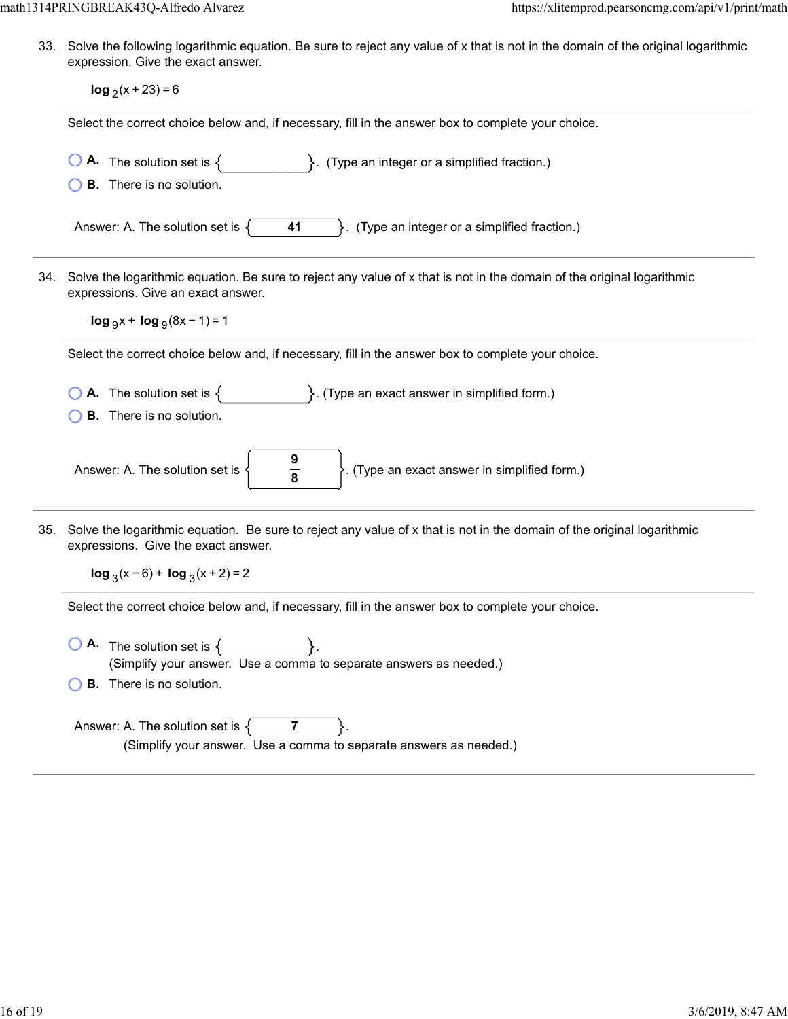33. Solve the following logarithmic equation. Be sure to reject any value of x that is not in the domain of the original logarithmic expression. Give the exact answer.

|     | $log_2(x + 23) = 6$                                                                                                                                                                                |
|-----|----------------------------------------------------------------------------------------------------------------------------------------------------------------------------------------------------|
|     | Select the correct choice below and, if necessary, fill in the answer box to complete your choice.                                                                                                 |
|     | <b>A.</b> The solution set is $\{$ $\}$ . (Type an integer or a simplified fraction.)<br><b>B.</b> There is no solution.                                                                           |
|     | Answer: A. The solution set is $\{$<br>$\left\vert \right\rangle$ . (Type an integer or a simplified fraction.)<br>41                                                                              |
| 34. | Solve the logarithmic equation. Be sure to reject any value of x that is not in the domain of the original logarithmic<br>expressions. Give an exact answer.<br>$\log_{9}x + \log_{9}(8x - 1) = 1$ |
|     | Select the correct choice below and, if necessary, fill in the answer box to complete your choice.                                                                                                 |
|     | <b>A.</b> The solution set is $\{$ $\}$ . (Type an exact answer in simplified form.)<br><b>B.</b> There is no solution.                                                                            |
|     | $\frac{9}{8}$<br>$\bigg\}$ . (Type an exact answer in simplified form.)<br>Answer: A. The solution set is $\left\{ \right.$                                                                        |
| 35. | Solve the logarithmic equation. Be sure to reject any value of x that is not in the domain of the original logarithmic<br>expressions. Give the exact answer.<br>$\log_3(x-6)$ + $\log_3(x+2)$ = 2 |
|     | Select the correct choice below and, if necessary, fill in the answer box to complete your choice.                                                                                                 |
|     | <b>A.</b> The solution set is $\{$<br>(Simplify your answer. Use a comma to separate answers as needed.)<br><b>B.</b> There is no solution.                                                        |
|     | Answer: A. The solution set is $\{$<br>7<br>(Simplify your answer. Use a comma to separate answers as needed.)                                                                                     |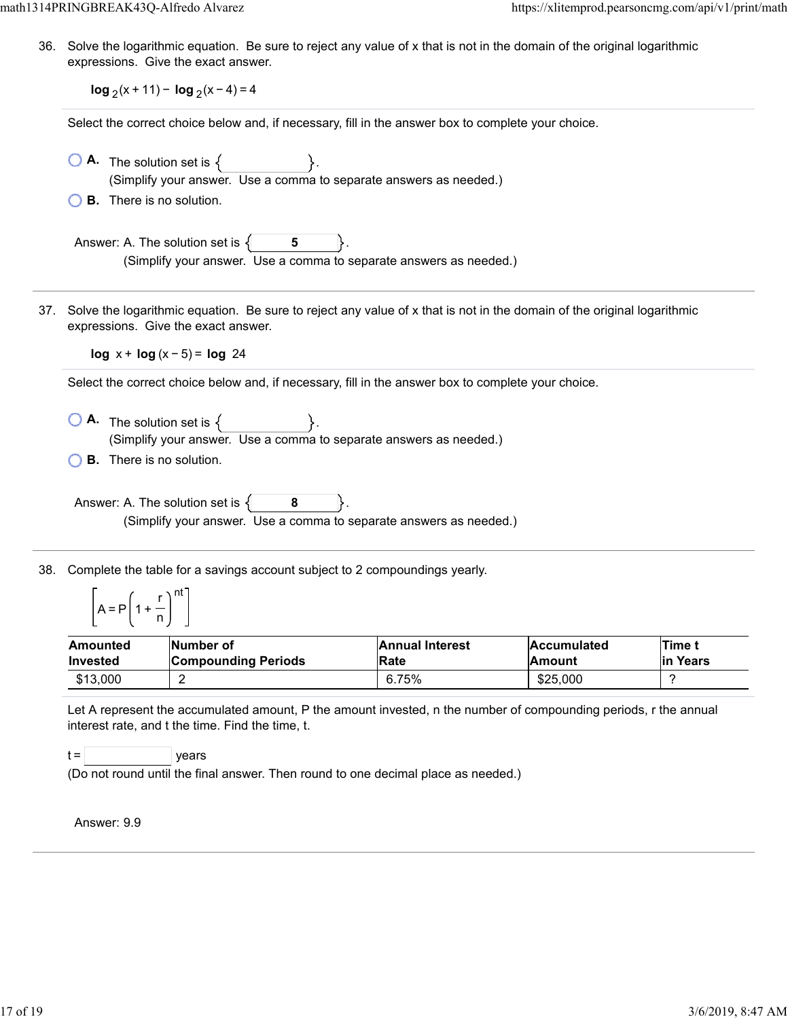36. Solve the logarithmic equation. Be sure to reject any value of x that is not in the domain of the original logarithmic expressions. Give the exact answer.

**log**  $2(x + 11) - \log_2(x - 4) = 4$ 

Select the correct choice below and, if necessary, fill in the answer box to complete your choice.

| $\overline{O}$ <b>A</b> The solution set is $\{$                   |  |  |
|--------------------------------------------------------------------|--|--|
| (Simplify your answer. Use a comma to separate answers as needed.) |  |  |
| $\bigcirc$ <b>B.</b> There is no solution.                         |  |  |

Answer: A. The solution set is  $\{$ **5** (Simplify your answer. Use a comma to separate answers as needed.)

37. Solve the logarithmic equation. Be sure to reject any value of x that is not in the domain of the original logarithmic expressions. Give the exact answer.

**log** x + **log** (x − 5) = **log** 24

Select the correct choice below and, if necessary, fill in the answer box to complete your choice.

- $\bigcirc$  **A.** The solution set is  $\{ \}$ . (Simplify your answer. Use a comma to separate answers as needed.)
- **B.** There is no solution.

Answer: A. The solution set is  $\{$  **8** (Simplify your answer. Use a comma to separate answers as needed.)

38. Complete the table for a savings account subject to 2 compoundings yearly.

$$
\left[A = P\left(1 + \frac{r}{n}\right)^{nt}\right]
$$

| Amounted        | Number of                  | <b>Annual Interest</b> | <b>Accumulated</b> | <b>Time t</b> |
|-----------------|----------------------------|------------------------|--------------------|---------------|
| <b>Invested</b> | <b>Compounding Periods</b> | <b>IRate</b>           | <b>Amount</b>      | lin Years     |
| \$13,000        | c                          | 6.75%                  | \$25,000           |               |

Let A represent the accumulated amount, P the amount invested, n the number of compounding periods, r the annual interest rate, and t the time. Find the time, t.

 $t =$  | years

(Do not round until the final answer. Then round to one decimal place as needed.)

Answer: 9.9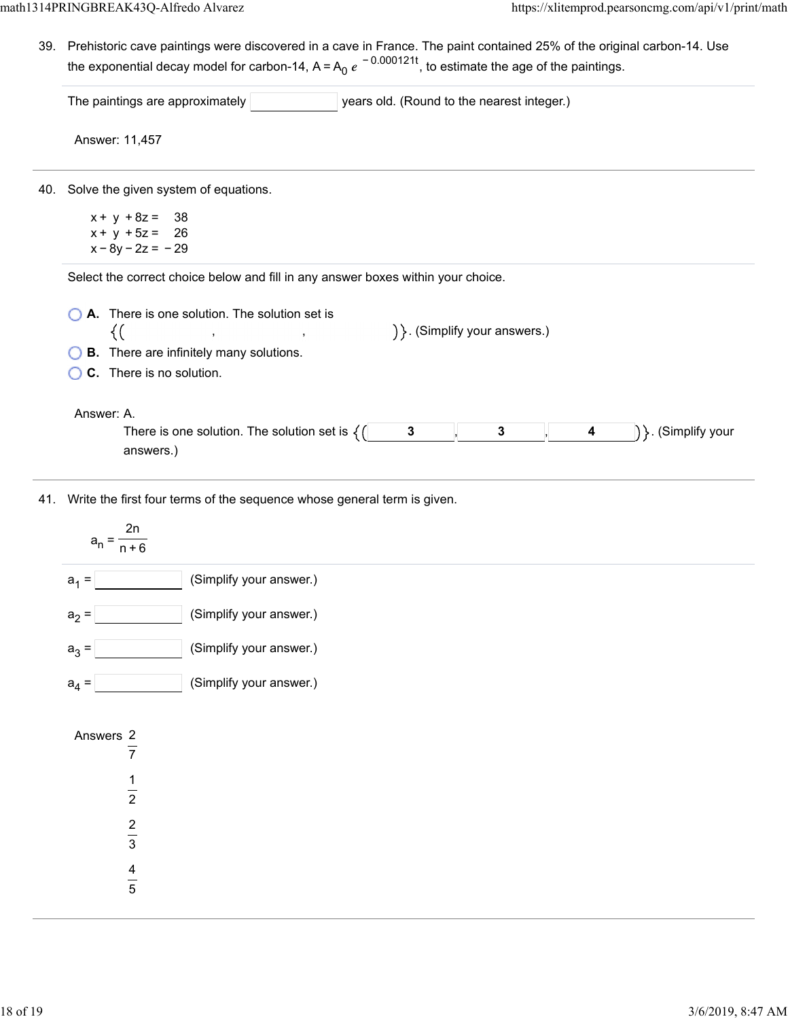39. Prehistoric cave paintings were discovered in a cave in France. The paint contained 25% of the original carbon-14. Use the exponential decay model for carbon-14, A=A<sub>0</sub>  $e^{\,-\,0.000121t}$ , to estimate the age of the paintings.

|     | The paintings are approximately<br>years old. (Round to the nearest integer.)                                |
|-----|--------------------------------------------------------------------------------------------------------------|
|     | Answer: 11,457                                                                                               |
| 40. | Solve the given system of equations.                                                                         |
|     | $x + y + 8z = 38$                                                                                            |
|     | $x + y + 5z = 26$<br>$x - 8y - 2z = -29$                                                                     |
|     |                                                                                                              |
|     | Select the correct choice below and fill in any answer boxes within your choice.                             |
|     | A. There is one solution. The solution set is                                                                |
|     | ) }. (Simplify your answers.)<br><u> 1989 - Jan Stein Berlin, Amerikaansk kanton (</u><br>{(                 |
|     |                                                                                                              |
|     | <b>B.</b> There are infinitely many solutions.                                                               |
|     | C. There is no solution.                                                                                     |
|     |                                                                                                              |
|     | Answer: A.                                                                                                   |
|     | There is one solution. The solution set is $\{()$<br>$\mathbf{3}$<br>$\mathbf{3}$<br>$\overline{\mathbf{4}}$ |
|     | answers.)                                                                                                    |
|     |                                                                                                              |
|     | 41. Write the first four terms of the sequence whose general term is given.                                  |
|     | 2n                                                                                                           |
|     | $a_n = \frac{a_{n+1}}{n+1}$                                                                                  |
|     |                                                                                                              |
|     | (Simplify your answer.)<br>$a_1 =$                                                                           |
|     | (Simplify your answer.)<br>$a_2 =$                                                                           |
|     |                                                                                                              |
|     | (Simplify your answer.)<br>$a_3 =$                                                                           |

1 2